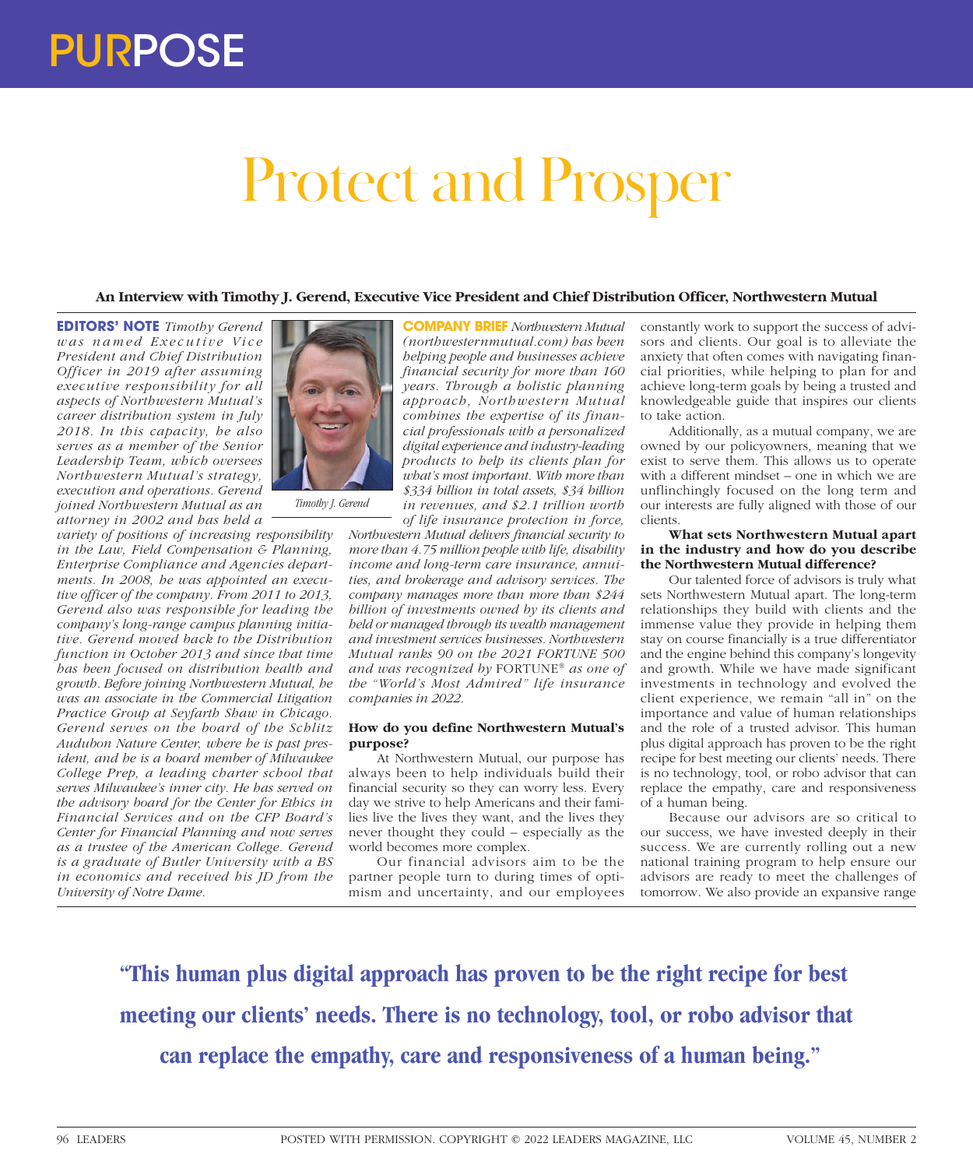# Protect and Prosper

# **An Interview with Timothy J. Gerend, Executive Vice President and Chief Distribution Officer, Northwestern Mutual**

**EDITORS' NOTE** *Timothy Gerend was named Executive Vice President and Chief Distribution Officer in 2019 after assuming executive responsibility for all aspects of Northwestern Mutual's career distribution system in July 2018. In this capacity, he also serves as a member of the Senior Leadership Team, which oversees Northwestern Mutual's strategy, execution and operations. Gerend joined Northwestern Mutual as an attorney in 2002 and has held a* 

*variety of positions of increasing responsibility in the Law, Field Compensation & Planning, Enterprise Compliance and Agencies departments. In 2008, he was appointed an executive officer of the company. From 2011 to 2013, Gerend also was responsible for leading the company's long-range campus planning initiative. Gerend moved back to the Distribution function in October 2013 and since that time has been focused on distribution health and growth. Before joining Northwestern Mutual, he was an associate in the Commercial Litigation Practice Group at Seyfarth Shaw in Chicago. Gerend serves on the board of the Schlitz Audubon Nature Center, where he is past president, and he is a board member of Milwaukee College Prep, a leading charter school that serves Milwaukee's inner city. He has served on the advisory board for the Center for Ethics in Financial Services and on the CFP Board's Center for Financial Planning and now serves as a trustee of the American College. Gerend is a graduate of Butler University with a BS in economics and received his JD from the University of Notre Dame.*



*Timothy J. Gerend*

**COMPANY BRIEF** *Northwestern Mutual (northwesternmutual.com) has been helping people and businesses achieve financial security for more than 160 years. Through a holistic planning approach, Northwestern Mutual combines the expertise of its financial professionals with a personalized digital experience and industry-leading products to help its clients plan for what's most important. With more than \$334 billion in total assets, \$34 billion in revenues, and \$2.1 trillion worth of life insurance protection in force,* 

*Northwestern Mutual delivers financial security to more than 4.75 million people with life, disability income and long-term care insurance, annuities, and brokerage and advisory services. The company manages more than more than \$244 billion of investments owned by its clients and held or managed through its wealth management and investment services businesses. Northwestern Mutual ranks 90 on the 2021 FORTUNE 500 and was recognized by* FORTUNE® *as one of the "World's Most Admired" life insurance companies in 2022.*

#### **How do you define Northwestern Mutual's purpose?**

At Northwestern Mutual, our purpose has always been to help individuals build their financial security so they can worry less. Every day we strive to help Americans and their families live the lives they want, and the lives they never thought they could – especially as the world becomes more complex.

Our financial advisors aim to be the partner people turn to during times of optimism and uncertainty, and our employees constantly work to support the success of advisors and clients. Our goal is to alleviate the anxiety that often comes with navigating financial priorities, while helping to plan for and achieve long-term goals by being a trusted and knowledgeable guide that inspires our clients to take action.

Additionally, as a mutual company, we are owned by our policyowners, meaning that we exist to serve them. This allows us to operate with a different mindset – one in which we are unflinchingly focused on the long term and our interests are fully aligned with those of our clients.

# **What sets Northwestern Mutual apart in the industry and how do you describe the Northwestern Mutual difference?**

Our talented force of advisors is truly what sets Northwestern Mutual apart. The long-term relationships they build with clients and the immense value they provide in helping them stay on course financially is a true differentiator and the engine behind this company's longevity and growth. While we have made significant investments in technology and evolved the client experience, we remain "all in" on the importance and value of human relationships and the role of a trusted advisor. This human plus digital approach has proven to be the right recipe for best meeting our clients' needs. There is no technology, tool, or robo advisor that can replace the empathy, care and responsiveness of a human being.

Because our advisors are so critical to our success, we have invested deeply in their success. We are currently rolling out a new national training program to help ensure our advisors are ready to meet the challenges of tomorrow. We also provide an expansive range

**"This human plus digital approach has proven to be the right recipe for best meeting our clients' needs. There is no technology, tool, or robo advisor that can replace the empathy, care and responsiveness of a human being."**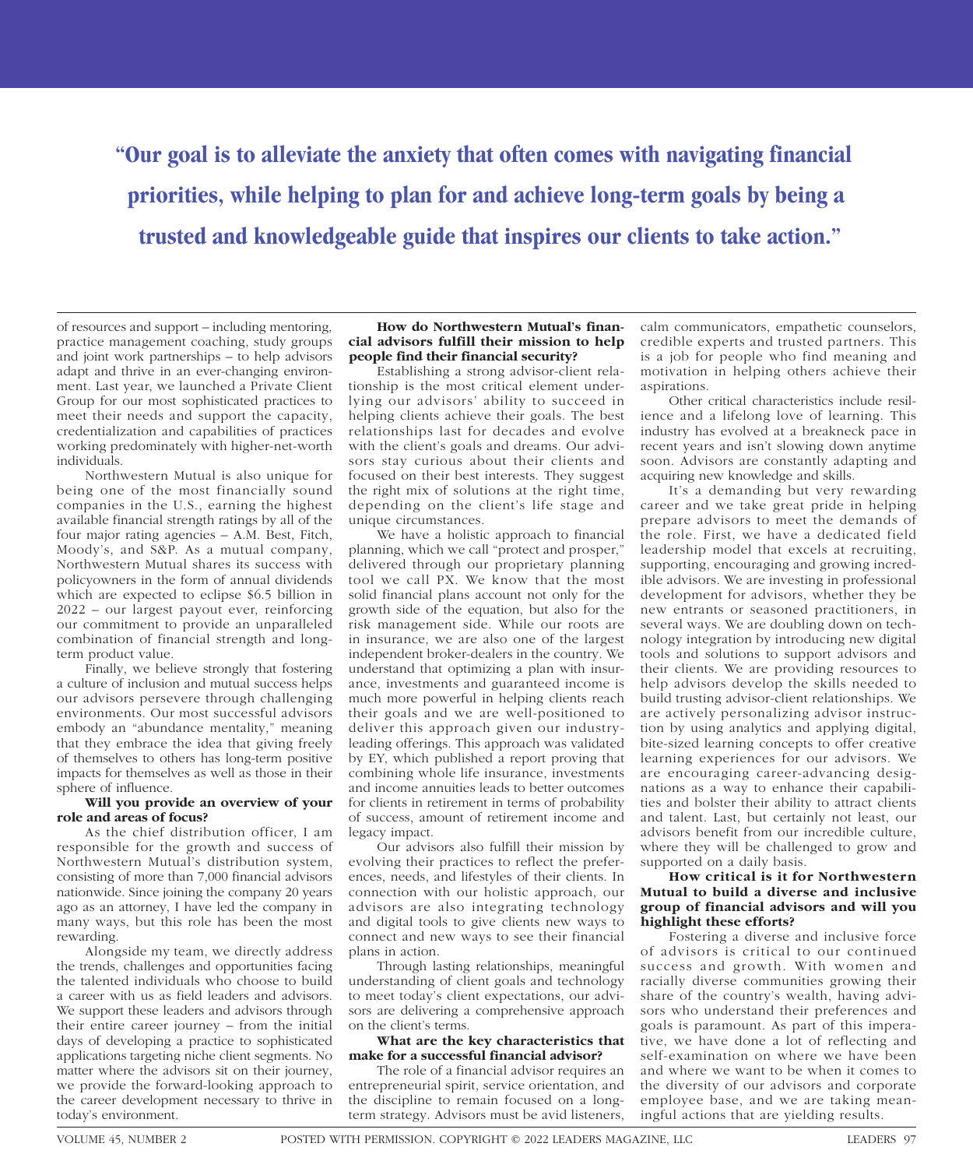**"Our goal is to alleviate the anxiety that often comes with navigating financial priorities, while helping to plan for and achieve long-term goals by being a trusted and knowledgeable guide that inspires our clients to take action."**

of resources and support – including mentoring, practice management coaching, study groups and joint work partnerships – to help advisors adapt and thrive in an ever-changing environment. Last year, we launched a Private Client Group for our most sophisticated practices to meet their needs and support the capacity, credentialization and capabilities of practices working predominately with higher-net-worth individuals.

Northwestern Mutual is also unique for being one of the most financially sound companies in the U.S., earning the highest available financial strength ratings by all of the four major rating agencies – A.M. Best, Fitch, Moody's, and S&P. As a mutual company, Northwestern Mutual shares its success with policyowners in the form of annual dividends which are expected to eclipse \$6.5 billion in 2022 – our largest payout ever, reinforcing our commitment to provide an unparalleled combination of financial strength and longterm product value.

Finally, we believe strongly that fostering a culture of inclusion and mutual success helps our advisors persevere through challenging environments. Our most successful advisors embody an "abundance mentality," meaning that they embrace the idea that giving freely of themselves to others has long-term positive impacts for themselves as well as those in their sphere of influence.

# **Will you provide an overview of your role and areas of focus?**

As the chief distribution officer, I am responsible for the growth and success of Northwestern Mutual's distribution system, consisting of more than 7,000 financial advisors nationwide. Since joining the company 20 years ago as an attorney, I have led the company in many ways, but this role has been the most rewarding.

Alongside my team, we directly address the trends, challenges and opportunities facing the talented individuals who choose to build a career with us as field leaders and advisors. We support these leaders and advisors through their entire career journey – from the initial days of developing a practice to sophisticated applications targeting niche client segments. No matter where the advisors sit on their journey, we provide the forward-looking approach to the career development necessary to thrive in today's environment.

#### **How do Northwestern Mutual's financial advisors fulfill their mission to help people find their financial security?**

Establishing a strong advisor-client relationship is the most critical element underlying our advisors' ability to succeed in helping clients achieve their goals. The best relationships last for decades and evolve with the client's goals and dreams. Our advisors stay curious about their clients and focused on their best interests. They suggest the right mix of solutions at the right time, depending on the client's life stage and unique circumstances.

We have a holistic approach to financial planning, which we call "protect and prosper," delivered through our proprietary planning tool we call PX. We know that the most solid financial plans account not only for the growth side of the equation, but also for the risk management side. While our roots are in insurance, we are also one of the largest independent broker-dealers in the country. We understand that optimizing a plan with insurance, investments and guaranteed income is much more powerful in helping clients reach their goals and we are well-positioned to deliver this approach given our industryleading offerings. This approach was validated by EY, which published a report proving that combining whole life insurance, investments and income annuities leads to better outcomes for clients in retirement in terms of probability of success, amount of retirement income and legacy impact.

Our advisors also fulfill their mission by evolving their practices to reflect the preferences, needs, and lifestyles of their clients. In connection with our holistic approach, our advisors are also integrating technology and digital tools to give clients new ways to connect and new ways to see their financial plans in action.

Through lasting relationships, meaningful understanding of client goals and technology to meet today's client expectations, our advisors are delivering a comprehensive approach on the client's terms.

# **What are the key characteristics that make for a successful financial advisor?**

The role of a financial advisor requires an entrepreneurial spirit, service orientation, and the discipline to remain focused on a longterm strategy. Advisors must be avid listeners,

calm communicators, empathetic counselors, credible experts and trusted partners. This is a job for people who find meaning and motivation in helping others achieve their aspirations.

Other critical characteristics include resilience and a lifelong love of learning. This industry has evolved at a breakneck pace in recent years and isn't slowing down anytime soon. Advisors are constantly adapting and acquiring new knowledge and skills.

It's a demanding but very rewarding career and we take great pride in helping prepare advisors to meet the demands of the role. First, we have a dedicated field leadership model that excels at recruiting, supporting, encouraging and growing incredible advisors. We are investing in professional development for advisors, whether they be new entrants or seasoned practitioners, in several ways. We are doubling down on technology integration by introducing new digital tools and solutions to support advisors and their clients. We are providing resources to help advisors develop the skills needed to build trusting advisor-client relationships. We are actively personalizing advisor instruction by using analytics and applying digital, bite-sized learning concepts to offer creative learning experiences for our advisors. We are encouraging career-advancing designations as a way to enhance their capabilities and bolster their ability to attract clients and talent. Last, but certainly not least, our advisors benefit from our incredible culture, where they will be challenged to grow and supported on a daily basis.

# **How critical is it for Northwestern Mutual to build a diverse and inclusive group of financial advisors and will you highlight these efforts?**

Fostering a diverse and inclusive force of advisors is critical to our continued success and growth. With women and racially diverse communities growing their share of the country's wealth, having advisors who understand their preferences and goals is paramount. As part of this imperative, we have done a lot of reflecting and self-examination on where we have been and where we want to be when it comes to the diversity of our advisors and corporate employee base, and we are taking meaningful actions that are yielding results.